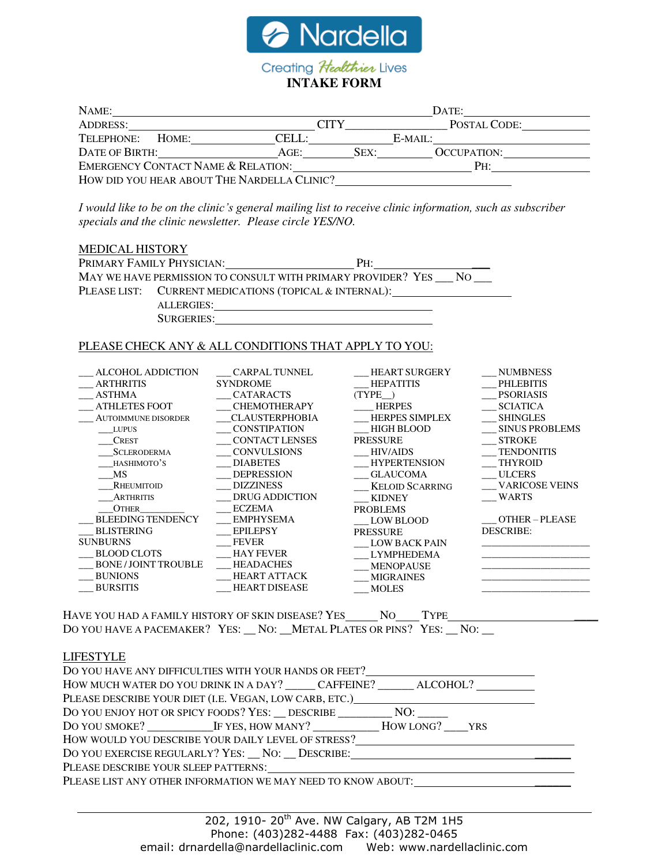

| NAME:                                         |      |      | DATE:              |  |
|-----------------------------------------------|------|------|--------------------|--|
| <b>ADDRESS:</b>                               | CITY |      | POSTAL CODE:       |  |
| TELEPHONE:<br>CELL <sup>.</sup><br>HOME:      |      |      | $E-MAIL:$          |  |
| DATE OF BIRTH:<br>AGE:                        |      | SEX: | <b>OCCUPATION:</b> |  |
| <b>EMERGENCY CONTACT NAME &amp; RELATION:</b> |      |      | PH:                |  |
| HOW DID YOU HEAR ABOUT THE NARDELLA CLINIC?   |      |      |                    |  |

*I would like to be on the clinic's general mailing list to receive clinic information, such as subscriber specials and the clinic newsletter. Please circle YES/NO.*

## MEDICAL HISTORY

| PRIMARY FAMILY PHYSICIAN:<br>$PH+$                              |  |
|-----------------------------------------------------------------|--|
| MAY WE HAVE PERMISSION TO CONSULT WITH PRIMARY PROVIDER? YES NO |  |
| PLEASE LIST: CURRENT MEDICATIONS (TOPICAL & INTERNAL):          |  |
| ALLERGIES:                                                      |  |
| SURGERIES:                                                      |  |

## PLEASE CHECK ANY & ALL CONDITIONS THAT APPLY TO YOU:

| ALCOHOL ADDICTION           | <b>CARPAL TUNNEL</b>  | <b>HEART SURGERY</b>   | <b>NUMBNESS</b>       |
|-----------------------------|-----------------------|------------------------|-----------------------|
| <b>ARTHRITIS</b>            | <b>SYNDROME</b>       | <b>HEPATITIS</b>       | <b>PHLEBITIS</b>      |
| <b>ASTHMA</b>               | <b>CATARACTS</b>      | (TYPE)                 | <b>PSORIASIS</b>      |
| <b>ATHLETES FOOT</b>        | <b>CHEMOTHERAPY</b>   | <b>HERPES</b>          | <b>SCIATICA</b>       |
| <b>AUTOIMMUNE DISORDER</b>  | <b>CLAUSTERPHOBIA</b> | <b>HERPES SIMPLEX</b>  | <b>SHINGLES</b>       |
| <b>LUPUS</b>                | <b>CONSTIPATION</b>   | <b>HIGH BLOOD</b>      | <b>SINUS PROBLEMS</b> |
| <b>CREST</b>                | <b>CONTACT LENSES</b> | <b>PRESSURE</b>        | <b>STROKE</b>         |
| <b>SCLERODERMA</b>          | <b>CONVULSIONS</b>    | <b>HIV/AIDS</b>        | <b>TENDONITIS</b>     |
| HASHIMOTO'S                 | <b>DIABETES</b>       | <b>HYPERTENSION</b>    | <b>THYROID</b>        |
| MS                          | <b>DEPRESSION</b>     | <b>GLAUCOMA</b>        | <b>ULCERS</b>         |
| RHEUMITOID                  | <b>DIZZINESS</b>      | <b>KELOID SCARRING</b> | <b>VARICOSE VEINS</b> |
| <b>ARTHRITIS</b>            | <b>DRUG ADDICTION</b> | <b>KIDNEY</b>          | <b>WARTS</b>          |
| <b>OTHER</b>                | <b>ECZEMA</b>         | <b>PROBLEMS</b>        |                       |
| <b>BLEEDING TENDENCY</b>    | <b>EMPHYSEMA</b>      | LOW BLOOD              | OTHER-PLEASE          |
| <b>BLISTERING</b>           | <b>EPILEPSY</b>       | <b>PRESSURE</b>        | <b>DESCRIBE:</b>      |
| <b>SUNBURNS</b>             | <b>FEVER</b>          | <b>LOW BACK PAIN</b>   |                       |
| <b>BLOOD CLOTS</b>          | <b>HAY FEVER</b>      | <b>LYMPHEDEMA</b>      |                       |
| <b>BONE / JOINT TROUBLE</b> | <b>HEADACHES</b>      | <b>MENOPAUSE</b>       |                       |
| <b>BUNIONS</b>              | <b>HEART ATTACK</b>   | <b>MIGRAINES</b>       |                       |
| <b>BURSITIS</b>             | <b>HEART DISEASE</b>  | <b>MOLES</b>           |                       |
|                             |                       |                        |                       |

HAVE YOU HAD A FAMILY HISTORY OF SKIN DISEASE? YES NO TYPE DO YOU HAVE A PACEMAKER? YES: \_\_ NO: \_\_ METAL PLATES OR PINS? YES: \_\_ NO: \_\_

LIFESTYLE

| DO YOU HAVE ANY DIFFICULTIES WITH YOUR HANDS OR FEET?                            |  |  |
|----------------------------------------------------------------------------------|--|--|
| HOW MUCH WATER DO YOU DRINK IN A DAY? CAFFEINE? ALCOHOL?                         |  |  |
| PLEASE DESCRIBE YOUR DIET (I.E. VEGAN, LOW CARB, ETC.)                           |  |  |
| DO YOU ENJOY HOT OR SPICY FOODS? YES: __ DESCRIBE ____________ NO: ______        |  |  |
| DO YOU SMOKE? IF YES, HOW MANY? HOW LONG? YRS                                    |  |  |
| HOW WOULD YOU DESCRIBE YOUR DAILY LEVEL OF STRESS?                               |  |  |
| DO YOU EXERCISE REGULARLY? YES: __ NO: __ DESCRIBE: ___ ________________________ |  |  |
| PLEASE DESCRIBE YOUR SLEEP PATTERNS:                                             |  |  |
| PLEASE LIST ANY OTHER INFORMATION WE MAY NEED TO KNOW ABOUT:                     |  |  |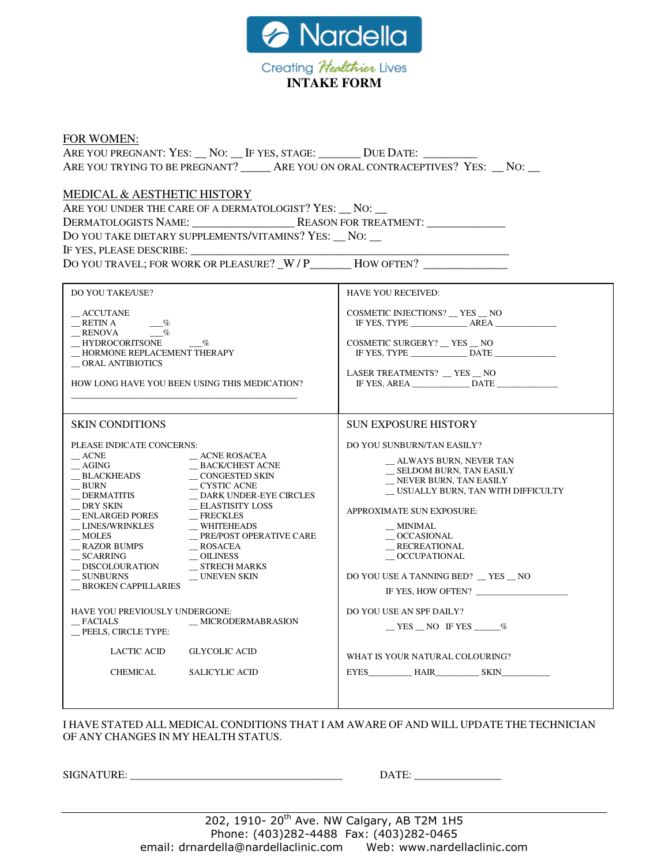

| <b>FOR WOMEN:</b>                                                                                                                                                                                                                                                                                                                                                                                                                                                                                                                                             |                                                                                                                                                                                                                                                                                                                                            |  |  |  |
|---------------------------------------------------------------------------------------------------------------------------------------------------------------------------------------------------------------------------------------------------------------------------------------------------------------------------------------------------------------------------------------------------------------------------------------------------------------------------------------------------------------------------------------------------------------|--------------------------------------------------------------------------------------------------------------------------------------------------------------------------------------------------------------------------------------------------------------------------------------------------------------------------------------------|--|--|--|
| ARE YOU PREGNANT: YES: __ NO: __ IF YES, STAGE: ________ DUE DATE: _______                                                                                                                                                                                                                                                                                                                                                                                                                                                                                    |                                                                                                                                                                                                                                                                                                                                            |  |  |  |
| ARE YOU TRYING TO BE PREGNANT? _______ ARE YOU ON ORAL CONTRACEPTIVES? YES: __ NO: __                                                                                                                                                                                                                                                                                                                                                                                                                                                                         |                                                                                                                                                                                                                                                                                                                                            |  |  |  |
| MEDICAL & AESTHETIC HISTORY<br>ARE YOU UNDER THE CARE OF A DERMATOLOGIST? YES: NO:<br>DO YOU TAKE DIETARY SUPPLEMENTS/VITAMINS? YES: __ NO: __<br>IF YES, PLEASE DESCRIBE:<br>DO YOU TRAVEL; FOR WORK OR PLEASURE? W/P HOW OFTEN?                                                                                                                                                                                                                                                                                                                             |                                                                                                                                                                                                                                                                                                                                            |  |  |  |
| <b>DO YOU TAKE/USE?</b>                                                                                                                                                                                                                                                                                                                                                                                                                                                                                                                                       | <b>HAVE YOU RECEIVED:</b>                                                                                                                                                                                                                                                                                                                  |  |  |  |
| $\_$ ACCUTANE<br>RETINA<br>$-$ %<br>RENOVA<br>$\%$<br>__ HYDROCORITSONE<br>$\_$ HORMONE REPLACEMENT THERAPY<br>$\_\$ ORAL ANTIBIOTICS                                                                                                                                                                                                                                                                                                                                                                                                                         | COSMETIC INJECTIONS? __ YES __ NO<br>COSMETIC SURGERY? __ YES __ NO<br>IF YES, TYPE DATE                                                                                                                                                                                                                                                   |  |  |  |
| HOW LONG HAVE YOU BEEN USING THIS MEDICATION?                                                                                                                                                                                                                                                                                                                                                                                                                                                                                                                 | LASER TREATMENTS? $\_$ YES $\_$ NO                                                                                                                                                                                                                                                                                                         |  |  |  |
|                                                                                                                                                                                                                                                                                                                                                                                                                                                                                                                                                               |                                                                                                                                                                                                                                                                                                                                            |  |  |  |
|                                                                                                                                                                                                                                                                                                                                                                                                                                                                                                                                                               |                                                                                                                                                                                                                                                                                                                                            |  |  |  |
| <b>SKIN CONDITIONS</b>                                                                                                                                                                                                                                                                                                                                                                                                                                                                                                                                        | <b>SUN EXPOSURE HISTORY</b>                                                                                                                                                                                                                                                                                                                |  |  |  |
| PLEASE INDICATE CONCERNS:<br>$\_\$ ACNE<br>$\_\$ ACNE ROSACEA<br>$\_$ AGING<br>_BACK/CHEST ACNE<br>$\_$ BLACKHEADS<br>$\sim$ CONGESTED SKIN<br>$\_$ CYSTIC ACNE<br>BURN<br>$\equiv$ DERMATITIS<br>_DARK UNDER-EYE CIRCLES<br>$\_$ DRY SKIN<br>$\_$ ELASTISITY LOSS<br>__ ENLARGED PORES<br>$-$ FRECKLES<br>_ LINES/WRINKLES<br>$\_$ WHITEHEADS<br>$-MOLES$<br>_PRE/POST OPERATIVE CARE<br>_ RAZOR BUMPS<br>$\_$ ROSACEA<br>$\_$ SCARRING<br>$\sim$ OILINESS<br>_DISCOLOURATION<br>_ STRECH MARKS<br>$\_$ SUNBURNS<br>$\_$ UNEVEN SKIN<br>_BROKEN CAPPILLARIES | DO YOU SUNBURN/TAN EASILY?<br>_ ALWAYS BURN, NEVER TAN<br>__ SELDOM BURN, TAN EASILY<br>NEVER BURN, TAN EASILY<br>_ USUALLY BURN, TAN WITH DIFFICULTY<br>APPROXIMATE SUN EXPOSURE:<br>$\_$ MINIMAL<br>$\_\$ textrm{OCCASIONAL}<br>RECREATIONAL<br>$\_\$ textrm{OCCDPATIONAL}<br>DO YOU USE A TANNING BED? _ YES _ NO<br>IF YES, HOW OFTEN? |  |  |  |
| HAVE YOU PREVIOUSLY UNDERGONE:<br>FACIALS<br>_MICRODERMABRASION<br>_PEELS, CIRCLE TYPE:                                                                                                                                                                                                                                                                                                                                                                                                                                                                       | DO YOU USE AN SPF DAILY?<br>$YES$ NO IF YES $\_\_\%$                                                                                                                                                                                                                                                                                       |  |  |  |
| LACTIC ACID<br><b>GLYCOLIC ACID</b>                                                                                                                                                                                                                                                                                                                                                                                                                                                                                                                           | WHAT IS YOUR NATURAL COLOURING?                                                                                                                                                                                                                                                                                                            |  |  |  |
| CHEMICAL<br><b>SALICYLIC ACID</b>                                                                                                                                                                                                                                                                                                                                                                                                                                                                                                                             | EYES HAIR SKIN                                                                                                                                                                                                                                                                                                                             |  |  |  |
|                                                                                                                                                                                                                                                                                                                                                                                                                                                                                                                                                               |                                                                                                                                                                                                                                                                                                                                            |  |  |  |

I HAVE STATED ALL MEDICAL CONDITIONS THAT I AM AWARE OF AND WILL UPDATE THE TECHNICIAN OF ANY CHANGES IN MY HEALTH STATUS.

SIGNATURE: \_\_\_\_\_\_\_\_\_\_\_\_\_\_\_\_\_\_\_\_\_\_\_\_\_\_\_\_\_\_\_\_\_\_\_\_\_\_\_ DATE: \_\_\_\_\_\_\_\_\_\_\_\_\_\_\_\_